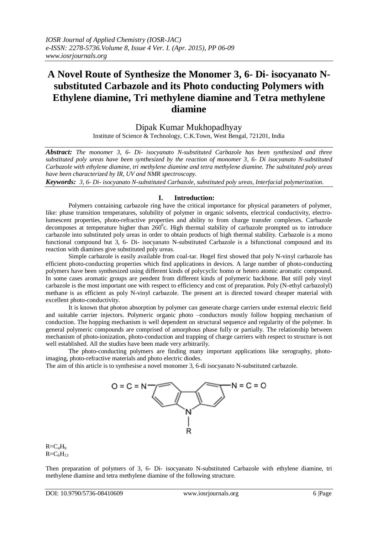# **A Novel Route of Synthesize the Monomer 3, 6- Di- isocyanato Nsubstituted Carbazole and its Photo conducting Polymers with Ethylene diamine, Tri methylene diamine and Tetra methylene diamine**

Dipak Kumar Mukhopadhyay

Institute of Science & Technology, C.K.Town, West Bengal, 721201, India

*Abstract: The monomer 3, 6- Di- isocyanato N-substituted Carbazole has been synthesized and three substituted poly ureas have been synthesized by the reaction of monomer 3, 6- Di isocyanato N-substituted Carbazole with ethylene diamine, tri methylene diamine and tetra methylene diamine. The substituted poly ureas have been characterized by IR, UV and NMR spectroscopy.* 

*Keywords: 3, 6- Di- isocyanato N-substituted Carbazole, substituted poly ureas, Interfacial polymerization.*

## **I. Introduction:**

Polymers containing carbazole ring have the critical importance for physical parameters of polymer, like: phase transition temperatures, solubility of polymer in organic solvents, electrical conductivity, electrolumescent properties, photo-refractive properties and ability to from charge transfer complexes. Carbazole decomposes at temperature higher than  $260^{\circ}$ c. High thermal stability of carbazole prompted us to introduce carbazole into substituted poly ureas in order to obtain products of high thermal stability. Carbazole is a mono functional compound but 3, 6- Di- isocyanato N-substituted Carbazole is a bifunctional compound and its reaction with diamines give substituted poly ureas.

Simple carbazole is easily available from coal-tar. Hogel first showed that poly N-vinyl carbazole has efficient photo-conducting properties which find applications in devices. A large number of photo-conducting polymers have been synthesized using different kinds of polycyclic homo or hetero atomic aromatic compound. In some cases aromatic groups are pendent from different kinds of polymeric backbone. But still poly vinyl carbazole is the most important one with respect to efficiency and cost of preparation. Poly (N-ethyl carbazolyl) methane is as efficient as poly N-vinyl carbazole. The present art is directed toward cheaper material with excellent photo-conductivity.

It is known that photon absorption by polymer can generate charge carriers under external electric field and suitable carrier injectors. Polymeric organic photo –conductors mostly follow hopping mechanism of conduction. The hopping mechanism is well dependent on structural sequence and regularity of the polymer. In general polymeric compounds are comprised of amorphous phase fully or partially. The relationship between mechanism of photo-ionization, photo-conduction and trapping of charge carriers with respect to structure is not well established. All the studies have been made very arbitrarily.

The photo-conducting polymers are finding many important applications like xerography, photoimaging, photo-refractive materials and photo electric diodes.

The aim of this article is to synthesise a novel monomer 3, 6-di isocyanato N-substituted carbazole.



 $R = C<sub>4</sub>H<sub>9</sub>$  $R = C_6H_{13}$ 

Then preparation of polymers of 3, 6- Di- isocyanato N-substituted Carbazole with ethylene diamine, tri methylene diamine and tetra methylene diamine of the following structure.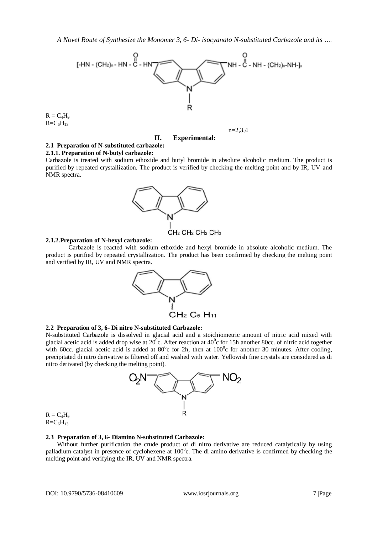

 $R = C<sub>4</sub>H<sub>9</sub>$  $R=C_6H_{13}$ 

**II. Experimental:**

n=2,3,4

# **2.1 Preparation of N-substituted carbazole:**

#### **2.1.1. Preparation of N-butyl carbazole:**

Carbazole is treated with sodium ethoxide and butyl bromide in absolute alcoholic medium. The product is purified by repeated crystallization. The product is verified by checking the melting point and by IR, UV and NMR spectra.



#### **2.1.2.Preparation of N-hexyl carbazole:**

Carbazole is reacted with sodium ethoxide and hexyl bromide in absolute alcoholic medium. The product is purified by repeated crystallization. The product has been confirmed by checking the melting point and verified by IR, UV and NMR spectra.



#### **2.2 Preparation of 3, 6- Di nitro N-substituted Carbazole:**

N-substituted Carbazole is dissolved in glacial acid and a stoichiometric amount of nitric acid mixed with glacial acetic acid is added drop wise at  $20^{\circ}$ c. After reaction at  $40^{\circ}$ c for 15h another 80cc. of nitric acid together with 60cc. glacial acetic acid is added at  $80^{\circ}$ c for 2h, then at  $100^{\circ}$ c for another 30 minutes. After cooling, precipitated di nitro derivative is filtered off and washed with water. Yellowish fine crystals are considered as di nitro derivated (by checking the melting point).



 $R = C_4H_9$  $R=C_6H_{13}$ 

#### **2.3 Preparation of 3, 6- Diamino N-substituted Carbazole:**

Without further purification the crude product of di nitro derivative are reduced catalytically by using palladium catalyst in presence of cyclohexene at  $100^{\circ}$ c. The di amino derivative is confirmed by checking the melting point and verifying the IR, UV and NMR spectra.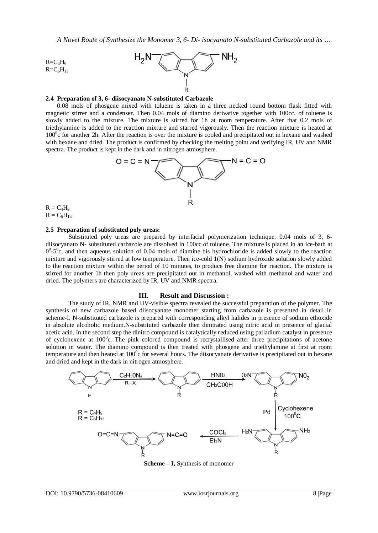

### **2.4 Preparation of 3, 6- diisocyanato N-substituted Carbazole**

0.08 mols of phosgene mixed with toluene is taken in a three necked round bottom flask fitted with magnetic stirrer and a condenser. Then 0.04 mols of diamino derivative together with 100cc. of toluene is slowly added to the mixture. The mixture is stirred for 1h at room temperature. After that 0.2 mols of triethylamine is added to the reaction mixture and starred vigorously. Then the reaction mixture is heated at  $100^{\circ}$ c for another 2h. After the reaction is over the mixture is cooled and precipitated out in hexane and washed with hexane and dried. The product is confirmed by checking the melting point and verifying IR, UV and NMR spectra. The product is kept in the dark and in nitrogen atmosphere.



 $R = C<sub>4</sub>H<sub>9</sub>$  $R = C_6H_{13}$ 

#### **2.5 Preparation of substituted poly ureas:**

Substituted poly ureas are prepared by interfacial polymerization technique. 0.04 mols of 3, 6 diisocyanato N- substituted carbazole are dissolved in 100cc.of toluene. The mixture is placed in an ice-bath at  $0^0$ -5<sup>o</sup>c, and then aqueous solution of 0.04 mols of diamine bis hydrochloride is added slowly to the reaction mixture and vigorously stirred at low temperature. Then ice-cold 1(N) sodium hydroxide solution slowly added to the reaction mixture within the period of 10 minutes, to produce free diamine for reaction. The mixture is stirred for another 1h then poly ureas are precipitated out in methanol, washed with methanol and water and dried. The polymers are characterized by IR, UV and NMR spectra.

#### **III. Result and Discussion :**

The study of IR, NMR and UV-visible spectra revealed the successful preparation of the polymer. The synthesis of new carbazole based diisocyanate monomer starting from carbazole is presented in detail in scheme-I. N-substituted carbazole is prepared with corresponding alkyl halides in presence of sodium ethoxide in absolute alcoholic medium.N-substituted carbazole then dinitrated using nitric acid in presence of glacial acetic acid. In the second step the dinitro compound is catalytically reduced using palladium catalyst in presence of cyclohexenc at 100<sup>°</sup>c. The pink colored compound is recrystallised after three precipitations of acetone solution in water. The diamino compound is then treated with phosgene and triethylamine at first at room temperature and then heated at  $100^{\circ}$ c for several hours. The diisocyanate derivative is precipitated out in hexane and dried and kept in the dark in nitrogen atmosphere.



**Scheme – I,** Synthesis of monomer